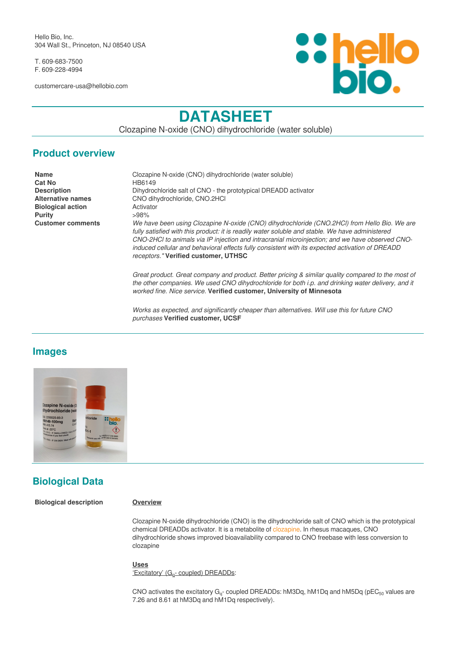Hello Bio, Inc. 304 Wall St., Princeton, NJ 08540 USA

T. 609-683-7500 F. 609-228-4994

customercare-usa@hellobio.com



# **DATASHEET**

Clozapine N-oxide (CNO) dihydrochloride (water soluble)

### **Product overview**

**Cat No** HB6149 **Biological action Activator Purity** >98%

**Name** Clozapine N-oxide (CNO) dihydrochloride (water soluble) **Description** Dihydrochloride salt of CNO - the prototypical DREADD activator **Alternative names** CNO dihydrochloride, CNO.2HCl **Customer comments** *We have been using Clozapine N-oxide (CNO) dihydrochloride (CNO.2HCl) from Hello Bio. We are fully satisfied with this product: it is readily water soluble and stable. We have administered CNO-2HCl to animals via IP injection and intracranial microinjection; and we have observed CNOinduced cellular and behavioral effects fully consistent with its expected activation of DREADD receptors."* **Verified customer, UTHSC**

> *Great product. Great company and product. Better pricing & similar quality compared to the most of the other companies. We used CNO dihydrochloride for both i.p. and drinking water delivery, and it worked fine. Nice service.* **Verified customer, University of Minnesota**

*Works as expected, and significantly cheaper than alternatives. Will use this for future CNO purchases* **Verified customer, UCSF**

### **Images**



## **Biological Data**

**Biological description Overview**

Clozapine N-oxide dihydrochloride (CNO) is the dihydrochloride salt of CNO which is the prototypical chemical DREADDs activator. It is a metabolite of [clozapine.](https://hellobio.com/clozapine.html) In rhesus macaques, CNO dihydrochloride shows improved bioavailability compared to CNO freebase with less conversion to clozapine

#### **Uses**

'Excitatory' (G<sub>q</sub>- coupled) DREADDs:

CNO activates the excitatory G<sub>q</sub>- coupled DREADDs: hM3Dq, hM1Dq and hM5Dq (pEC<sub>50</sub> values are 7.26 and 8.61 at hM3Dq and hM1Dq respectively).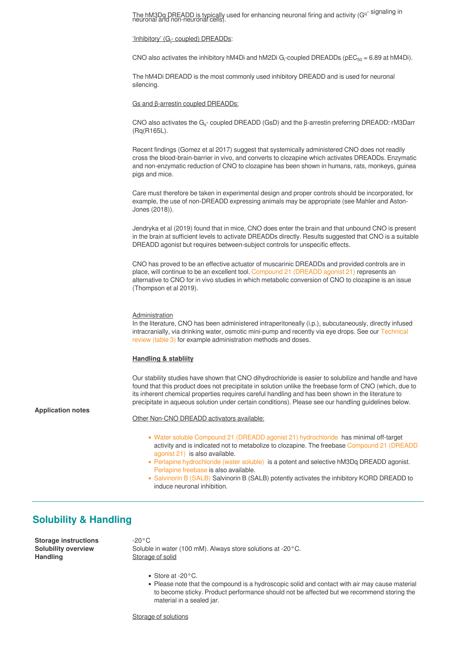The hM3Dq DREADD is typically used for enhancing neuronal firing and activity (Gq<sup>-</sup> signaling in neuronal and non-neuronal cells).

#### 'Inhibitory' (G<sub>i</sub>- coupled) DREADDs:

CNO also activates the inhibitory hM4Di and hM2Di G<sub>i</sub>-coupled DREADDs (pEC<sub>50</sub> = 6.89 at hM4Di).

The hM4Di DREADD is the most commonly used inhibitory DREADD and is used for neuronal silencing.

#### Gs and β-arrestin coupled DREADDs:

CNO also activates the G<sub>s</sub>- coupled DREADD (GsD) and the β-arrestin preferring DREADD: rM3Darr (Rq(R165L).

Recent findings (Gomez et al 2017) suggest that systemically administered CNO does not readily cross the blood-brain-barrier in vivo, and converts to clozapine which activates DREADDs. Enzymatic and non-enzymatic reduction of CNO to clozapine has been shown in humans, rats, monkeys, guinea pigs and mice.

Care must therefore be taken in experimental design and proper controls should be incorporated, for example, the use of non-DREADD expressing animals may be appropriate (see Mahler and Aston-Jones (2018)).

Jendryka et al (2019) found that in mice, CNO does enter the brain and that unbound CNO is present in the brain at sufficient levels to activate DREADDs directly. Results suggested that CNO is a suitable DREADD agonist but requires between-subject controls for unspecific effects.

CNO has proved to be an effective actuator of muscarinic DREADDs and provided controls are in place, will continue to be an excellent tool. [Compound 21 \(DREADD agonist 21\)](https://hellobio.com/dreadd-agonist21-dihydrochloride.html) represents an alternative to CNO for in vivo studies in which metabolic conversion of CNO to clozapine is an issue (Thompson et al 2019).

#### Administration

In the literature, CNO has been administered intraperitoneally (i.p.), subcutaneously, directly infused intracranially, via drinking water, osmotic mini-pump and recently via eye drops. See our [Technical](https://hellobio.com/clozapine-n-oxide-stability-solubility-review/#dose.html) [review \(table 3\)](https://hellobio.com/clozapine-n-oxide-stability-solubility-review/#dose.html) for example administration methods and doses.

#### **Handling & stabliity**

Our stability studies have shown that CNO dihydrochloride is easier to solubilize and handle and have found that this product does not precipitate in solution unlike the freebase form of CNO (which, due to its inherent chemical properties requires careful handling and has been shown in the literature to precipitate in aqueous solution under certain conditions). Please see our handling guidelines below.

#### **Application notes**

- Other Non-CNO DREADD activators available:
	- [Water soluble Compound 21 \(DREADD agonist 21\) hydrochloride](https://hellobio.com/dreadd-agonist21-hydrochloride.html) has minimal off-target activity and is indicated not to metabolize to clozapine. The freebase [Compound 21 \(DREADD](https://hellobio.com/dreadd-agonist21.html) [agonist 21\)](https://hellobio.com/dreadd-agonist21.html) is also available.
	- [Perlapine hydrochloride \(water soluble\)](https://hellobio.com/perlapine-hydrochloride.html) is a potent and selective hM3Dq DREADD agonist. [Perlapine freebase](https://hellobio.com/perlapine.html) is also available.
	- [Salvinorin B \(SALB\)](https://hellobio.com/salvinorin-b.html) Salvinorin B (SALB) potently activates the inhibitory KORD DREADD to induce neuronal inhibition.

### **Solubility & Handling**

**Storage instructions** -20°C **Handling** Storage of solid

**Solubility overview** Soluble in water (100 mM). Always store solutions at -20°C.

- Store at -20°C.
- Please note that the compound is a hydroscopic solid and contact with air may cause material to become sticky. Product performance should not be affected but we recommend storing the material in a sealed jar.

Storage of solutions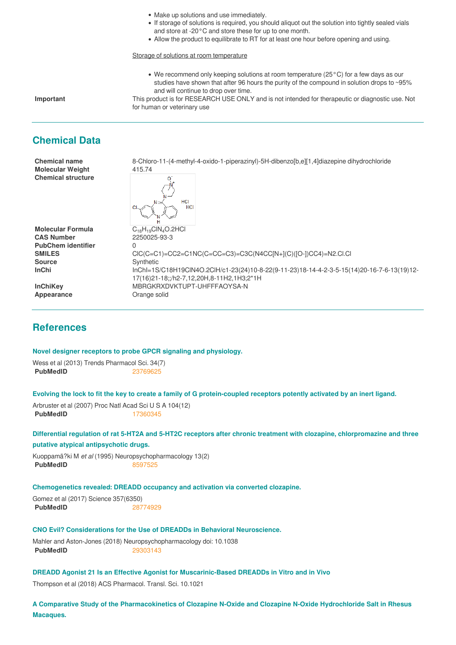- Make up solutions and use immediately.
- If storage of solutions is required, you should aliquot out the solution into tightly sealed vials and store at -20°C and store these for up to one month.
- Allow the product to equilibrate to RT for at least one hour before opening and using.

Storage of solutions at room temperature

We recommend only keeping solutions at room temperature (25°C) for a few days as our studies have shown that after 96 hours the purity of the compound in solution drops to ~95% and will continue to drop over time.

**Important** This product is for RESEARCH USE ONLY and is not intended for therapeutic or diagnostic use. Not for human or veterinary use

### **Chemical Data**

**Molecular Weight** 415.74 **Chemical structure**

**Chemical name** 8-Chloro-11-(4-methyl-4-oxido-1-piperazinyl)-5H-dibenzo[b,e][1,4]diazepine dihydrochloride



**Molecular Formula** C<sub>18</sub>H<sub>19</sub>ClN<sub>4</sub>O.2HCl<br>**CAS Number** 2250025-93-3 **PubChem identifier** 0 **Source** Synthetic

**CAS Number** 2250025-93-3 **SMILES** ClC(C=C1)=CC2=C1NC(C=CC=C3)=C3C(N4CC[N+](C)([O-])CC4)=N2.Cl.Cl InChi InChi=1S/C18H19ClN4O.2ClH/c1-23(24)10-8-22(9-11-23)18-14-4-2-3-5-15(14)20-16-7-6-13(19)12-17(16)21-18;;/h2-7,12,20H,8-11H2,1H3;2\*1H **InChiKey MBRGKRXDVKTUPT-UHFFFAOYSA-N** 

**Appearance** Orange solid

### **References**

#### **Novel designer receptors to probe GPCR signaling and physiology.**

Wess et al (2013) Trends Pharmacol Sci. 34(7) **PubMedID** [23769625](https://www.ncbi.nlm.nih.gov/pubmed/23769625)

**Evolving the lock to fit the key to create a family of G protein-coupled receptors potently activated by an inert ligand.**

Arbruster et al (2007) Proc Natl Acad Sci U S A 104(12) **PubMedID** [17360345](https://www.ncbi.nlm.nih.gov/pubmed/17360345)

**Differential regulation of rat 5-HT2A and 5-HT2C receptors after chronic treatment with clozapine, chlorpromazine and three putative atypical antipsychotic drugs.**

Kuoppamã?ki M *et al* (1995) Neuropsychopharmacology 13(2) **PubMedID** [8597525](http://www.ncbi.nlm.nih.gov/pubmed/8597525)

#### **Chemogenetics revealed: DREADD occupancy and activation via converted clozapine.**

Gomez et al (2017) Science 357(6350) **PubMedID** [28774929](https://www.ncbi.nlm.nih.gov/pubmed/28774929)

#### **CNO Evil? Considerations for the Use of DREADDs in Behavioral Neuroscience.**

Mahler and Aston-Jones (2018) Neuropsychopharmacology doi: 10.1038 **PubMedID** [29303143](https://www.ncbi.nlm.nih.gov/pubmed/29303143)

### **DREADD Agonist 21 Is an Effective Agonist for Muscarinic-Based DREADDs in Vitro and in Vivo**

Thompson et al (2018) ACS Pharmacol. Transl. Sci. 10.1021

**A Comparative Study of the Pharmacokinetics of Clozapine N-Oxide and Clozapine N-Oxide Hydrochloride Salt in Rhesus Macaques.**